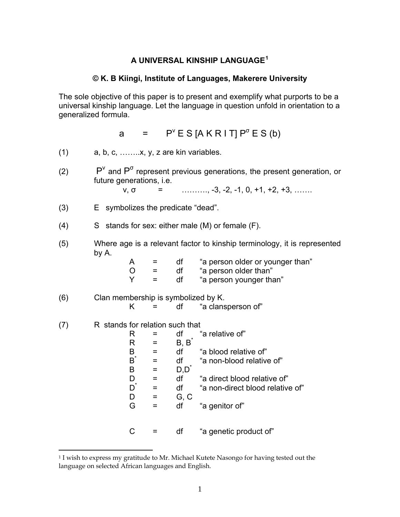## **A UNIVERSAL KINSHIP LANGUAGE[1](#page-0-0)**

## **© K. B Kiingi, Institute of Languages, Makerere University**

The sole objective of this paper is to present and exemplify what purports to be a universal kinship language. Let the language in question unfold in orientation to a generalized formula.

a =  $P^{\vee}$  E S [A K R I T]  $P^{\sigma}$  E S (b)

| $a, b, c, \ldots, x, y, z$ are kin variables.                                                                                                                                                               |                                    |                                                                |            |                                                                                   |  |  |
|-------------------------------------------------------------------------------------------------------------------------------------------------------------------------------------------------------------|------------------------------------|----------------------------------------------------------------|------------|-----------------------------------------------------------------------------------|--|--|
| $Pv$ and $P\sigma$ represent previous generations, the present generation, or<br>future generations, i.e.<br>$\ldots$ $\ldots$ $-3$ , $-2$ , $-1$ , $0$ , $+1$ , $+2$ , $+3$ , $\ldots$<br>$V, \sigma$<br>Ξ |                                    |                                                                |            |                                                                                   |  |  |
|                                                                                                                                                                                                             | E symbolizes the predicate "dead". |                                                                |            |                                                                                   |  |  |
| S stands for sex: either male (M) or female (F).                                                                                                                                                            |                                    |                                                                |            |                                                                                   |  |  |
| Where age is a relevant factor to kinship terminology, it is represented<br>by A.                                                                                                                           |                                    |                                                                |            |                                                                                   |  |  |
|                                                                                                                                                                                                             | A                                  | $=$                                                            | df         | "a person older or younger than"                                                  |  |  |
|                                                                                                                                                                                                             | $\overline{O}$                     |                                                                |            | "a person older than"                                                             |  |  |
|                                                                                                                                                                                                             | Y                                  | $=$                                                            | df         | "a person younger than"                                                           |  |  |
| Clan membership is symbolized by K.                                                                                                                                                                         |                                    |                                                                |            |                                                                                   |  |  |
|                                                                                                                                                                                                             | K                                  |                                                                | df         | "a clansperson of"                                                                |  |  |
|                                                                                                                                                                                                             | R stands for relation such that    |                                                                |            |                                                                                   |  |  |
|                                                                                                                                                                                                             | R                                  | =                                                              | df         | "a relative of"                                                                   |  |  |
|                                                                                                                                                                                                             |                                    | $=$                                                            |            |                                                                                   |  |  |
|                                                                                                                                                                                                             |                                    | $=$                                                            |            | "a blood relative of"                                                             |  |  |
|                                                                                                                                                                                                             |                                    | $=$                                                            |            | "a non-blood relative of"                                                         |  |  |
|                                                                                                                                                                                                             |                                    | $=$                                                            |            |                                                                                   |  |  |
|                                                                                                                                                                                                             |                                    | $=$                                                            |            | "a direct blood relative of"                                                      |  |  |
|                                                                                                                                                                                                             |                                    |                                                                |            | "a non-direct blood relative of"                                                  |  |  |
|                                                                                                                                                                                                             |                                    | $=$                                                            |            |                                                                                   |  |  |
|                                                                                                                                                                                                             |                                    |                                                                |            | "a genitor of"                                                                    |  |  |
|                                                                                                                                                                                                             | C                                  | =                                                              | df         | "a genetic product of"                                                            |  |  |
|                                                                                                                                                                                                             |                                    | R<br>B<br>$\mathsf{B}^*$<br>B<br>D<br>$\mathsf{D}^*$<br>D<br>G | $=$<br>$=$ | df<br>$=$ 100 $\pm$<br>$B, B^*$<br>df<br>df<br>$D, D^*$<br>df<br>df<br>G, C<br>df |  |  |

<span id="page-0-0"></span><sup>&</sup>lt;sup>1</sup> I wish to express my gratitude to Mr. Michael Kutete Nasongo for having tested out the language on selected African languages and English.

 $\overline{a}$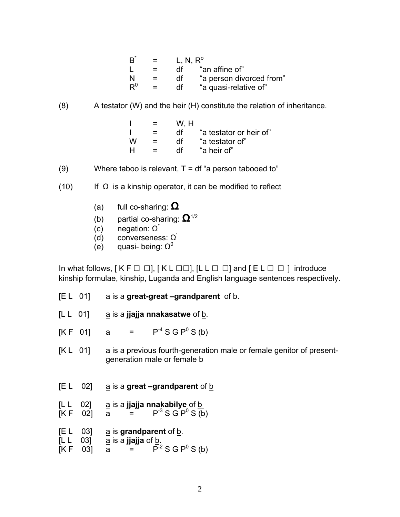| $\mathsf B^*$  | $\equiv$ | L, N, $R^{\circ}$ |                          |
|----------------|----------|-------------------|--------------------------|
|                | =        | df                | "an affine of"           |
| N              | =        | df                | "a person divorced from" |
| $\mathsf{R}^0$ |          | df                | "a quasi-relative of"    |

(8) A testator (W) and the heir (H) constitute the relation of inheritance.

|   | =   | W. H |                         |
|---|-----|------|-------------------------|
|   | $=$ | df   | "a testator or heir of" |
| w | $=$ | df   | "a testator of"         |
| н | $=$ | df   | "a heir of"             |

- (9) Where taboo is relevant,  $T = df''$  a person tabooed to"
- (10) If  $\Omega$  is a kinship operator, it can be modified to reflect
	- (a) full co-sharing: **Ω**
	- (b) partial co-sharing: **Ω**1/2
	- (c) negation:  $\Omega^*$
	- (d) converseness:  $\Omega$ <sup>'</sup>
	- (e) quasi- being:  $\Omega^0$

In what follows,  $K \vdash \Box \Box$ ,  $K \vdash \Box \Box$ ],  $[L \Box \Box]$  and  $E \vdash \Box \Box$  introduce kinship formulae, kinship, Luganda and English language sentences respectively.

- $[E L \ 01]$  a is a **great-great –grandparent** of b.
- [L L 01] a is a **jjajja nnakasatwe** of b.
- $[K F 01]$  a =  $-4$  S G P<sup>0</sup> S (b)
- $[K L \ 01]$  a is a previous fourth-generation male or female genitor of presentgeneration male or female b
- $[E L \ 02]$  a is a **great –grandparent** of b
- [L L 02] a is a **jjajja nnakabilye** of b
- $[KF \ 02]$  a =  $P^3 S G P^0 S(b)$

 $[E L \ 03]$  a is **grandparent** of b.

[L L 03] a is a **jjajja** of b.

 $[KF \ 03]$  a =  $\overline{P^2} S G P^0 S(b)$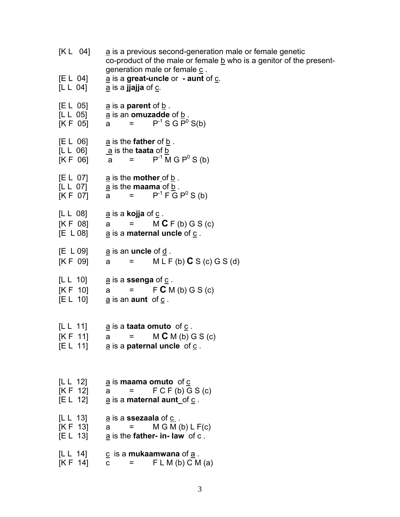$[K L \ 04]$  a is a previous second-generation male or female genetic co-product of the male or female  $b$  who is a genitor of the presentgeneration male or female c .  $[E L 04]$  a is a **great-uncle** or **- aunt** of c. [L L 04] a is a **jjajja** of c.  $[EL 05]$  a is a **parent** of b.  $[L L 05]$  <u>a</u> is an **omuzadde** of  $\underline{b}$ .  $[K F 05]$  a =  $^{-1}$  S G  $\overline{P}^0$  S(b) [E L 06] a is the **father** of b .  $[L L 06]$  <u>a</u> is the **taata** of b  $[K F 06]$  a =  $^{-1}$  M G P<sup>0</sup> S (b)  $[EL 07]$  <u>a</u> is the **mother** of **b**. [L L 07] a is the **maama** of b .  $[K F 07]$  a =  $^{-1}$  F G P<sup>0</sup> S (b)  $[L L 08]$  <u>a</u> is a **kojja** of <u>c</u>.  $[KF 08]$  a = M **C** F (b) G S (c)  $[E L 08]$  a is a **maternal uncle** of  $\underline{c}$ . [E L 09] a is an **uncle** of d .  $[K F 09]$  a = M L F (b)  $CS (c) G S (d)$  $[L L 10]$  a is a **ssenga** of  $C$ .  $[K F 10]$  a =  $F C M (b) G S (c)$ [E L 10] a is an **aunt** of c .  $[L L 11]$  a is a **taata omuto** of  $\underline{c}$ .  $[KF 11]$  a = M **C** M (b) G S (c) [E L 11] a is a **paternal uncle** of c . [L L 12] a is **maama omuto** of c  $[KF 12]$  a =  $FCF(b) G S(c)$ [E L 12] a is a **maternal aunt** of c . [L L 13] a is a **ssezaala** of c .  $[KF 13]$  a =  $M GM (b) LF (c)$ [E L 13] a is the **father- in- law** of c . [L L 14] c is a **mukaamwana** of a .  $[K F 14]$  c = FLM (b) CM (a)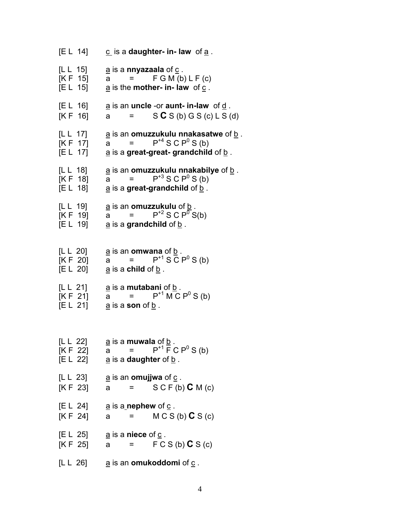$[EL 14]$   $C$  is a **daughter- in-law** of  $\underline{a}$ .  $[L L 15]$  <u>a</u> is a **nnyazaala** of  $\underline{c}$ .  $[KF 15]$  a =  $FG M (b) LF (c)$ [E L 15] a is the **mother- in- law** of c .  $[E L 16]$  a is an **uncle** -or **aunt- in-law** of <u>d</u>.  $[K F 16]$  a =  $SC S (b) G S (c) LS (d)$ [L L 17] a is an **omuzzukulu nnakasatwe** of b .  $[KF 17]$  a =  $A^{+4}$  S C P<sup>0</sup> S (b) [E L 17] a is a **great-great- grandchild** of b . [L L 18] a is an **omuzzukulu nnakabilye** of b .  $[KF 18]$  a =  $^{+3}$  S C P<sup>0</sup> S (b)  $[E L 18]$  <u>a</u> is a **great-grandchild** of b. [L L 19] a is an **omuzzukulu** of b .  $[K F 19]$  a  $^{+2}$  S C P<sup>0</sup> S(b) [E L 19] a is a **grandchild** of b . [L L 20] a is an **omwana** of b .  $[K F 20]$  a =  $^{+1}$  S  $\overline{C}$  P<sup>0</sup> S (b) [E L 20] a is a **child** of b . [L L 21] a is a **mutabani** of b .  $[KF 21]$  a =  $^{+1}$  M C P<sup>0</sup> S (b)  $[EL 21]$  <u>a</u> is a **son** of b. [L L 22] a is a **muwala** of b .  $[K F 22]$  a =  $^{+1}$  F C P<sup>0</sup> S (b) [E L 22] a is a **daughter** of b . [L L 23] a is an **omujjwa** of c .  $[KF 23]$  a = SCF(b) **C**M(c) [E L 24] a is a **nephew** of c .  $[K F 24]$  a = M C S (b) **C** S (c) [E L 25] a is a **niece** of c .  $[KF 25]$  a =  $FCS(b)CS(c)$  $[L L 26]$  a is an **omukoddomi** of  $\underline{c}$ .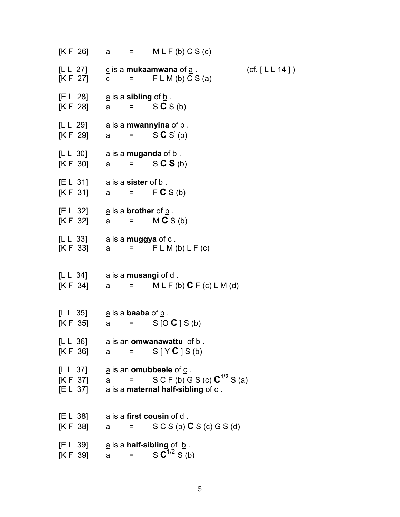$[KF 26]$  a = MLF(b) C S (c)  $[L L 27]$  c is a **mukaamwana** of  $\underline{a}$ . (cf.  $[L L 14]$ )  $[KF 27]$  c = FLM (b) C S (a)  $|E L 28|$  a is a **sibling** of b.  $[KF 28]$  a =  $SCS(b)$  $[L L 29]$  a is a **mwannyina** of b.  $[K F 29]$  a =  $S\,C\,S\,(b)$ [L L 30] a is a **muganda** of b .  $[KF 30]$  a =  $SCS(b)$  $[E L 31]$  <u>a</u> is a **sister** of <u>b</u>.  $[KF 31]$  a =  $FCS(b)$  $[E L 32]$  <u>a</u> is a **brother** of <u>b</u>.  $[KF 32]$  a = M  $CS(b)$  $[L L 33]$  <u>a</u> is a **muggya** of  $\underline{c}$ .  $[KF 33]$  a =  $FLM(b)LF(c)$  $[L L 34]$  <u>a</u> is a **musangi** of <u>d</u>.  $[K F 34]$  a = M L F (b)  $CF (c) L M (d)$ [L L 35] a is a **baaba** of b .  $[KF 35]$  a = S [O **C** ] S (b)  $[L L 36]$  <u>a</u> is an **omwanawattu** of <u>b</u>.  $[KF 36]$  a =  $S [Y C] S (b)$  $[L L 37]$  <u>a</u> is an **omubbeele** of  $\underline{c}$ .  $[K F 37]$  a = S C F (b) G S (c)  $C^{1/2}$  S (a)  $[E L 37]$  a is a **maternal half-sibling** of  $\underline{c}$ .  $[EL 38]$  a is a **first cousin** of <u>d</u>.  $[KF 38]$  a =  $SC S (b) C S (c) G S (d)$  $[E L 39]$  a is a **half-sibling** of  $\underline{b}$ .  $[KF 39]$  a =  $S C^{1/2} S(b)$